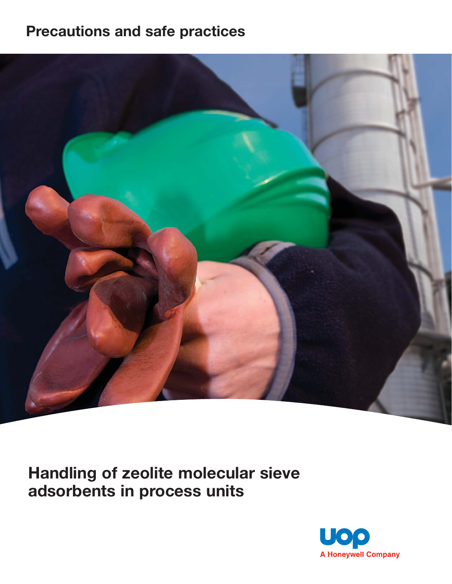# **Precautions and safe practices**



**Handling of zeolite molecular sieve adsorbents in process units**

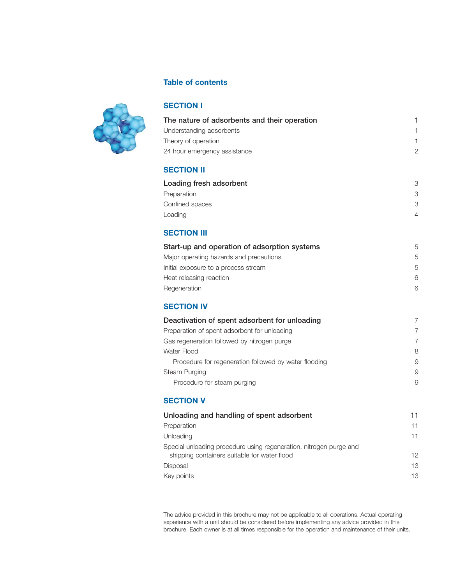

# **Table of contents**

#### **SECTION I**

| The nature of adsorbents and their operation |   |
|----------------------------------------------|---|
| Understanding adsorbents                     |   |
| Theory of operation                          |   |
| 24 hour emergency assistance                 | 2 |
|                                              |   |

#### **SECTION II**

| Loading fresh adsorbent | 3 |
|-------------------------|---|
| Preparation             | 3 |
| Confined spaces         | 3 |
| Loading                 | Δ |

# **SECTION III**

| Start-up and operation of adsorption systems | 5 |
|----------------------------------------------|---|
| Major operating hazards and precautions      | 5 |
| Initial exposure to a process stream         | 5 |
| Heat releasing reaction                      | 6 |
| Regeneration                                 | 6 |

### **SECTION IV**

| Deactivation of spent adsorbent for unloading         | 7 |
|-------------------------------------------------------|---|
| Preparation of spent adsorbent for unloading          | 7 |
| Gas regeneration followed by nitrogen purge           | 7 |
| Water Flood                                           | 8 |
| Procedure for regeneration followed by water flooding | 9 |
| <b>Steam Purging</b>                                  | 9 |
| Procedure for steam purging                           | 9 |

## **SECTION V**

| Unloading and handling of spent adsorbent                                                                          | 11 |
|--------------------------------------------------------------------------------------------------------------------|----|
| Preparation                                                                                                        | 11 |
| Unloading                                                                                                          | 11 |
| Special unloading procedure using regeneration, nitrogen purge and<br>shipping containers suitable for water flood | 12 |
| Disposal                                                                                                           | 13 |
| Key points                                                                                                         | 13 |
|                                                                                                                    |    |

The advice provided in this brochure may not be applicable to all operations. Actual operating experience with a unit should be considered before implementing any advice provided in this brochure. Each owner is at all times responsible for the operation and maintenance of their units.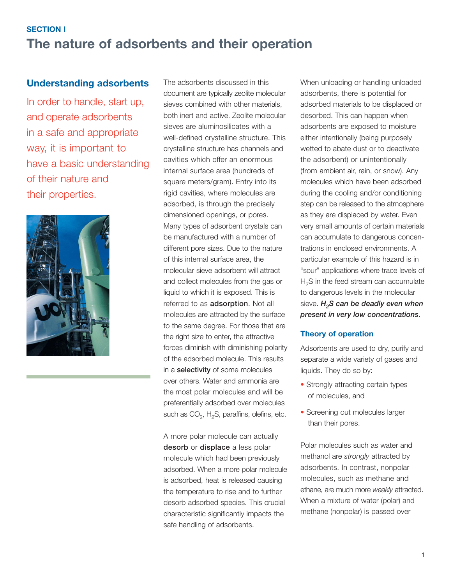# **SECTION I The nature of adsorbents and their operation**

# **Understanding adsorbents**

In order to handle, start up, and operate adsorbents in a safe and appropriate way, it is important to have a basic understanding of their nature and their properties.



The adsorbents discussed in this document are typically zeolite molecular sieves combined with other materials, both inert and active. Zeolite molecular sieves are aluminosilicates with a well-defined crystalline structure. This crystalline structure has channels and cavities which offer an enormous internal surface area (hundreds of square meters/gram). Entry into its rigid cavities, where molecules are adsorbed, is through the precisely dimensioned openings, or pores. Many types of adsorbent crystals can be manufactured with a number of different pore sizes. Due to the nature of this internal surface area, the molecular sieve adsorbent will attract and collect molecules from the gas or liquid to which it is exposed. This is referred to as **adsorption**. Not all molecules are attracted by the surface to the same degree. For those that are the right size to enter, the attractive forces diminish with diminishing polarity of the adsorbed molecule. This results in a **selectivity** of some molecules over others. Water and ammonia are the most polar molecules and will be preferentially adsorbed over molecules such as  $CO<sub>2</sub>$ , H<sub>2</sub>S, paraffins, olefins, etc.

A more polar molecule can actually **desorb** or **displace** a less polar molecule which had been previously adsorbed. When a more polar molecule is adsorbed, heat is released causing the temperature to rise and to further desorb adsorbed species. This crucial characteristic significantly impacts the safe handling of adsorbents.

When unloading or handling unloaded adsorbents, there is potential for adsorbed materials to be displaced or desorbed. This can happen when adsorbents are exposed to moisture either intentionally (being purposely wetted to abate dust or to deactivate the adsorbent) or unintentionally (from ambient air, rain, or snow). Any molecules which have been adsorbed during the cooling and/or conditioning step can be released to the atmosphere as they are displaced by water. Even very small amounts of certain materials can accumulate to dangerous concentrations in enclosed environments. A particular example of this hazard is in "sour" applications where trace levels of  $H<sub>2</sub>S$  in the feed stream can accumulate to dangerous levels in the molecular sieve. *H<sub>2</sub>S can be deadly even when present in very low concentrations*.

#### **Theory of operation**

Adsorbents are used to dry, purify and separate a wide variety of gases and liquids. They do so by:

- Strongly attracting certain types of molecules, and
- Screening out molecules larger than their pores.

Polar molecules such as water and methanol are *strongly* attracted by adsorbents. In contrast, nonpolar molecules, such as methane and ethane, are much more *weakly* attracted. When a mixture of water (polar) and methane (nonpolar) is passed over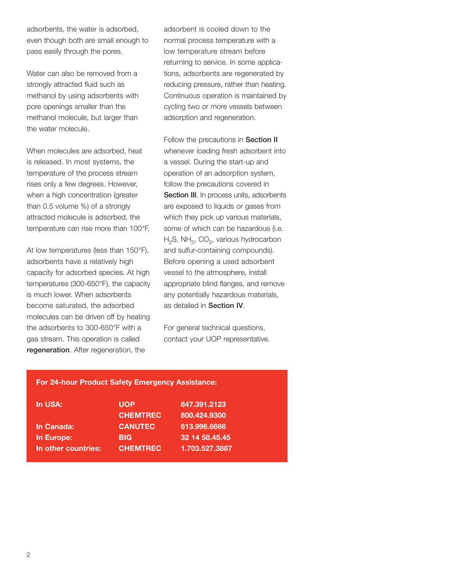adsorbents, the water is adsorbed, even though both are small enough to pass easily through the pores.

Water can also be removed from a strongly attracted fluid such as methanol by using adsorbents with pore openings smaller than the methanol molecule, but larger than the water molecule.

When molecules are adsorbed, heat is released. In most systems, the temperature of the process stream rises only a few degrees. However, when a high concentration (greater than 0.5 volume %) of a strongly attracted molecule is adsorbed, the temperature can rise more than 100°F.

At low temperatures (less than 150°F), adsorbents have a relatively high capacity for adsorbed species. At high temperatures (300-650°F), the capacity is much lower. When adsorbents become saturated, the adsorbed molecules can be driven off by heating the adsorbents to 300-650°F with a gas stream. This operation is called **regeneration**. After regeneration, the

adsorbent is cooled down to the normal process temperature with a low temperature stream before returning to service. In some applications, adsorbents are regenerated by reducing pressure, rather than heating. Continuous operation is maintained by cycling two or more vessels between adsorption and regeneration.

Follow the precautions in **Section II** whenever loading fresh adsorbent into a vessel. During the start-up and operation of an adsorption system, follow the precautions covered in **Section III.** In process units, adsorbents are exposed to liquids or gases from which they pick up various materials, some of which can be hazardous (i.e.  $H_2S$ , NH<sub>3</sub>, CO<sub>2</sub>, various hydrocarbon and sulfur-containing compounds). Before opening a used adsorbent vessel to the atmosphere, install appropriate blind flanges, and remove any potentially hazardous materials, as detailed in **Section IV**.

For general technical questions, contact your UOP representative.

#### **For 24-hour Product Safety Emergency Assistance:**

| <b>In USA:</b>      | <b>UOP</b>      | 847.391.2123   |
|---------------------|-----------------|----------------|
|                     | <b>CHEMTREC</b> | 800.424.9300   |
| In Canada:          | <b>CANUTEC</b>  | 613.996.6666   |
| In Europe:          | <b>BIG</b>      | 32 14 58 45 45 |
| In other countries: | <b>CHEMTREC</b> | 1.703.527.3887 |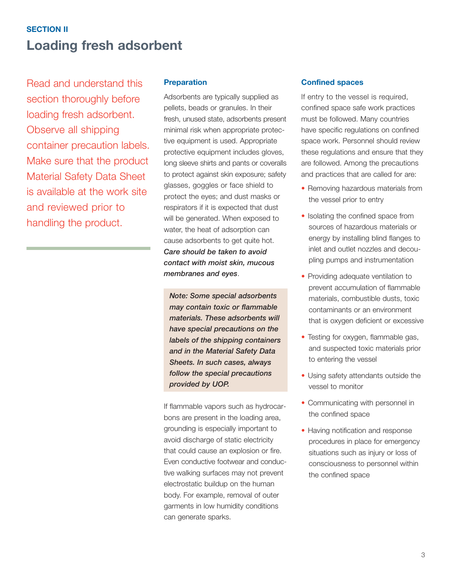# **SECTION II Loading fresh adsorbent**

Read and understand this section thoroughly before loading fresh adsorbent. Observe all shipping container precaution labels. Make sure that the product Material Safety Data Sheet is available at the work site and reviewed prior to handling the product.

#### **Preparation**

Adsorbents are typically supplied as pellets, beads or granules. In their fresh, unused state, adsorbents present minimal risk when appropriate protective equipment is used. Appropriate protective equipment includes gloves, long sleeve shirts and pants or coveralls to protect against skin exposure; safety glasses, goggles or face shield to protect the eyes; and dust masks or respirators if it is expected that dust will be generated. When exposed to water, the heat of adsorption can cause adsorbents to get quite hot. *Care should be taken to avoid contact with moist skin, mucous membranes and eyes*.

*Note: Some special adsorbents may contain toxic or flammable materials. These adsorbents will have special precautions on the labels of the shipping containers and in the Material Safety Data Sheets. In such cases, always follow the special precautions provided by UOP.* 

If flammable vapors such as hydrocarbons are present in the loading area, grounding is especially important to avoid discharge of static electricity that could cause an explosion or fire. Even conductive footwear and conductive walking surfaces may not prevent electrostatic buildup on the human body. For example, removal of outer garments in low humidity conditions can generate sparks.

#### **Confined spaces**

If entry to the vessel is required, confined space safe work practices must be followed. Many countries have specific regulations on confined space work. Personnel should review these regulations and ensure that they are followed. Among the precautions and practices that are called for are:

- Removing hazardous materials from the vessel prior to entry
- Isolating the confined space from sources of hazardous materials or energy by installing blind flanges to inlet and outlet nozzles and decoupling pumps and instrumentation
- Providing adequate ventilation to prevent accumulation of flammable materials, combustible dusts, toxic contaminants or an environment that is oxygen deficient or excessive
- Testing for oxygen, flammable gas, and suspected toxic materials prior to entering the vessel
- Using safety attendants outside the vessel to monitor
- Communicating with personnel in the confined space
- Having notification and response procedures in place for emergency situations such as injury or loss of consciousness to personnel within the confined space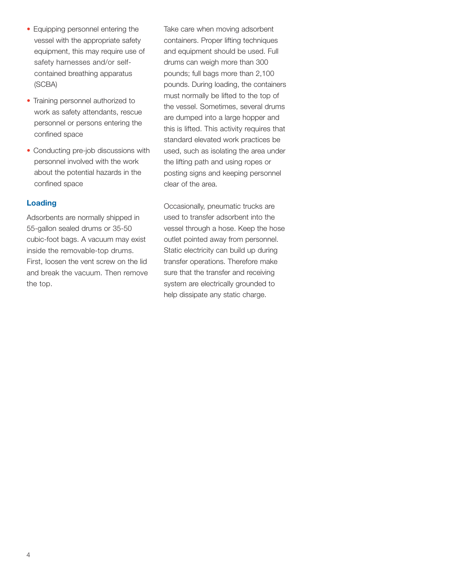- Equipping personnel entering the vessel with the appropriate safety equipment, this may require use of safety harnesses and/or selfcontained breathing apparatus (SCBA)
- Training personnel authorized to work as safety attendants, rescue personnel or persons entering the confined space
- Conducting pre-job discussions with personnel involved with the work about the potential hazards in the confined space

# **Loading**

Adsorbents are normally shipped in 55-gallon sealed drums or 35-50 cubic-foot bags. A vacuum may exist inside the removable-top drums. First, loosen the vent screw on the lid and break the vacuum. Then remove the top.

Take care when moving adsorbent containers. Proper lifting techniques and equipment should be used. Full drums can weigh more than 300 pounds; full bags more than 2,100 pounds. During loading, the containers must normally be lifted to the top of the vessel. Sometimes, several drums are dumped into a large hopper and this is lifted. This activity requires that standard elevated work practices be used, such as isolating the area under the lifting path and using ropes or posting signs and keeping personnel clear of the area.

Occasionally, pneumatic trucks are used to transfer adsorbent into the vessel through a hose. Keep the hose outlet pointed away from personnel. Static electricity can build up during transfer operations. Therefore make sure that the transfer and receiving system are electrically grounded to help dissipate any static charge.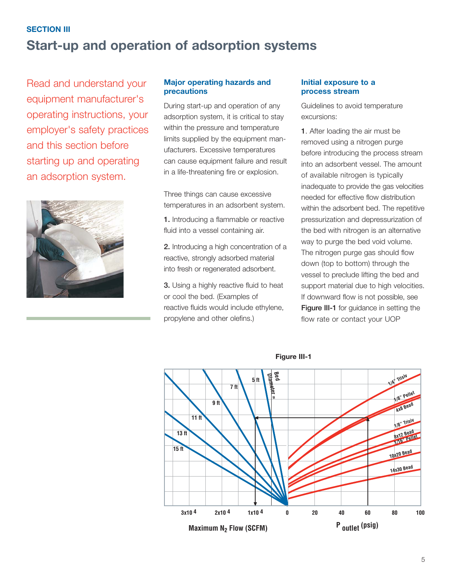# **SECTION III Start-up and operation of adsorption systems**

Read and understand your equipment manufacturer's operating instructions, your employer's safety practices and this section before starting up and operating an adsorption system.



## **Major operating hazards and precautions**

During start-up and operation of any adsorption system, it is critical to stay within the pressure and temperature limits supplied by the equipment manufacturers. Excessive temperatures can cause equipment failure and result in a life-threatening fire or explosion.

Three things can cause excessive temperatures in an adsorbent system.

- **1.** Introducing a flammable or reactive fluid into a vessel containing air.
- **2.** Introducing a high concentration of a reactive, strongly adsorbed material into fresh or regenerated adsorbent.

**3.** Using a highly reactive fluid to heat or cool the bed. (Examples of reactive fluids would include ethylene, propylene and other olefins.)

#### **Initial exposure to a process stream**

Guidelines to avoid temperature excursions:

**1**. After loading the air must be removed using a nitrogen purge before introducing the process stream into an adsorbent vessel. The amount of available nitrogen is typically inadequate to provide the gas velocities needed for effective flow distribution within the adsorbent bed. The repetitive pressurization and depressurization of the bed with nitrogen is an alternative way to purge the bed void volume. The nitrogen purge gas should flow down (top to bottom) through the vessel to preclude lifting the bed and support material due to high velocities. If downward flow is not possible, see **Figure III-1** for guidance in setting the flow rate or contact your UOP



**Figure III-1**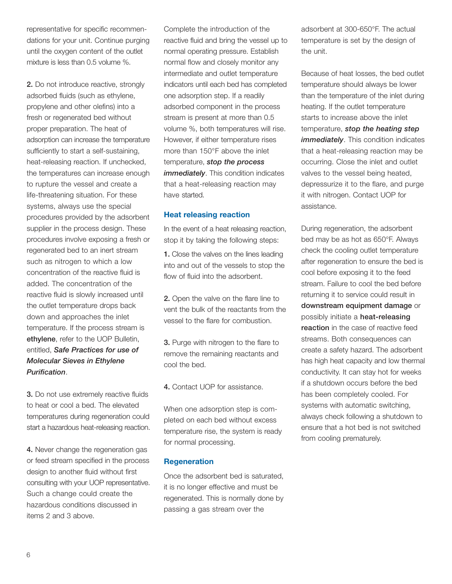representative for specific recommendations for your unit. Continue purging until the oxygen content of the outlet mixture is less than 0.5 volume %.

**2.** Do not introduce reactive, strongly adsorbed fluids (such as ethylene, propylene and other olefins) into a fresh or regenerated bed without proper preparation. The heat of adsorption can increase the temperature sufficiently to start a self-sustaining, heat-releasing reaction. If unchecked, the temperatures can increase enough to rupture the vessel and create a life-threatening situation. For these systems, always use the special procedures provided by the adsorbent supplier in the process design. These procedures involve exposing a fresh or regenerated bed to an inert stream such as nitrogen to which a low concentration of the reactive fluid is added. The concentration of the reactive fluid is slowly increased until the outlet temperature drops back down and approaches the inlet temperature. If the process stream is **ethylene**, refer to the UOP Bulletin, entitled, *Safe Practices for use of Molecular Sieves in Ethylene Purification*.

**3.** Do not use extremely reactive fluids to heat or cool a bed. The elevated temperatures during regeneration could start a hazardous heat-releasing reaction.

**4.** Never change the regeneration gas or feed stream specified in the process design to another fluid without first consulting with your UOP representative. Such a change could create the hazardous conditions discussed in items 2 and 3 above.

Complete the introduction of the reactive fluid and bring the vessel up to normal operating pressure. Establish normal flow and closely monitor any intermediate and outlet temperature indicators until each bed has completed one adsorption step. If a readily adsorbed component in the process stream is present at more than 0.5 volume %, both temperatures will rise. However, if either temperature rises more than 150°F above the inlet temperature, *stop the process* **immediately**. This condition indicates that a heat-releasing reaction may have started.

### **Heat releasing reaction**

In the event of a heat releasing reaction, stop it by taking the following steps:

**1.** Close the valves on the lines leading into and out of the vessels to stop the flow of fluid into the adsorbent.

**2.** Open the valve on the flare line to vent the bulk of the reactants from the vessel to the flare for combustion.

**3.** Purge with nitrogen to the flare to remove the remaining reactants and cool the bed.

**4.** Contact UOP for assistance.

When one adsorption step is completed on each bed without excess temperature rise, the system is ready for normal processing.

#### **Regeneration**

Once the adsorbent bed is saturated, it is no longer effective and must be regenerated. This is normally done by passing a gas stream over the

adsorbent at 300-650°F. The actual temperature is set by the design of the unit.

Because of heat losses, the bed outlet temperature should always be lower than the temperature of the inlet during heating. If the outlet temperature starts to increase above the inlet temperature, *stop the heating step immediately*. This condition indicates that a heat-releasing reaction may be occurring. Close the inlet and outlet valves to the vessel being heated, depressurize it to the flare, and purge it with nitrogen. Contact UOP for assistance.

During regeneration, the adsorbent bed may be as hot as 650°F. Always check the cooling outlet temperature after regeneration to ensure the bed is cool before exposing it to the feed stream. Failure to cool the bed before returning it to service could result in **downstream equipment damage** or possibly initiate a **heat-releasing reaction** in the case of reactive feed streams. Both consequences can create a safety hazard. The adsorbent has high heat capacity and low thermal conductivity. It can stay hot for weeks if a shutdown occurs before the bed has been completely cooled. For systems with automatic switching, always check following a shutdown to ensure that a hot bed is not switched from cooling prematurely.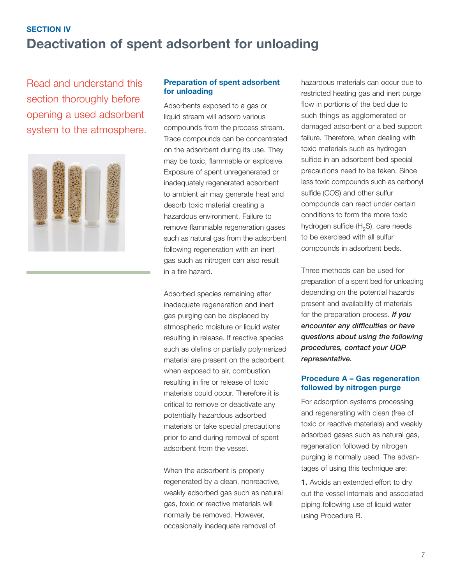# **SECTION IV Deactivation of spent adsorbent for unloading**

Read and understand this section thoroughly before opening a used adsorbent system to the atmosphere.



#### **Preparation of spent adsorbent for unloading**

Adsorbents exposed to a gas or liquid stream will adsorb various compounds from the process stream. Trace compounds can be concentrated on the adsorbent during its use. They may be toxic, flammable or explosive. Exposure of spent unregenerated or inadequately regenerated adsorbent to ambient air may generate heat and desorb toxic material creating a hazardous environment. Failure to remove flammable regeneration gases such as natural gas from the adsorbent following regeneration with an inert gas such as nitrogen can also result in a fire hazard.

Adsorbed species remaining after inadequate regeneration and inert gas purging can be displaced by atmospheric moisture or liquid water resulting in release. If reactive species such as olefins or partially polymerized material are present on the adsorbent when exposed to air, combustion resulting in fire or release of toxic materials could occur. Therefore it is critical to remove or deactivate any potentially hazardous adsorbed materials or take special precautions prior to and during removal of spent adsorbent from the vessel.

When the adsorbent is properly regenerated by a clean, nonreactive, weakly adsorbed gas such as natural gas, toxic or reactive materials will normally be removed. However, occasionally inadequate removal of

hazardous materials can occur due to restricted heating gas and inert purge flow in portions of the bed due to such things as agglomerated or damaged adsorbent or a bed support failure. Therefore, when dealing with toxic materials such as hydrogen sulfide in an adsorbent bed special precautions need to be taken. Since less toxic compounds such as carbonyl sulfide (COS) and other sulfur compounds can react under certain conditions to form the more toxic hydrogen sulfide  $(H<sub>2</sub>S)$ , care needs to be exercised with all sulfur compounds in adsorbent beds.

Three methods can be used for preparation of a spent bed for unloading depending on the potential hazards present and availability of materials for the preparation process. *If you encounter any difficulties or have questions about using the following procedures, contact your UOP representative.*

#### **Procedure A – Gas regeneration followed by nitrogen purge**

For adsorption systems processing and regenerating with clean (free of toxic or reactive materials) and weakly adsorbed gases such as natural gas, regeneration followed by nitrogen purging is normally used. The advantages of using this technique are:

**1.** Avoids an extended effort to dry out the vessel internals and associated piping following use of liquid water using Procedure B.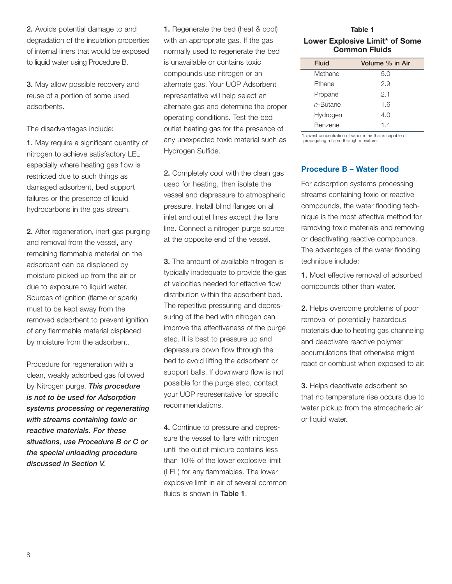**3.** May allow possible recovery and reuse of a portion of some used adsorbents.

The disadvantages include:

**1.** May require a significant quantity of nitrogen to achieve satisfactory LEL especially where heating gas flow is restricted due to such things as damaged adsorbent, bed support failures or the presence of liquid hydrocarbons in the gas stream.

**2.** After regeneration, inert gas purging and removal from the vessel, any remaining flammable material on the adsorbent can be displaced by moisture picked up from the air or due to exposure to liquid water. Sources of ignition (flame or spark) must to be kept away from the removed adsorbent to prevent ignition of any flammable material displaced by moisture from the adsorbent.

Procedure for regeneration with a clean, weakly adsorbed gas followed by Nitrogen purge. *This procedure is not to be used for Adsorption systems processing or regenerating with streams containing toxic or reactive materials. For these situations, use Procedure B or C or the special unloading procedure discussed in Section V.*

**1.** Regenerate the bed (heat & cool) with an appropriate gas. If the gas normally used to regenerate the bed is unavailable or contains toxic compounds use nitrogen or an alternate gas. Your UOP Adsorbent representative will help select an alternate gas and determine the proper operating conditions. Test the bed outlet heating gas for the presence of any unexpected toxic material such as Hydrogen Sulfide.

**2.** Completely cool with the clean gas used for heating, then isolate the vessel and depressure to atmospheric pressure. Install blind flanges on all inlet and outlet lines except the flare line. Connect a nitrogen purge source at the opposite end of the vessel.

**3.** The amount of available nitrogen is typically inadequate to provide the gas at velocities needed for effective flow distribution within the adsorbent bed. The repetitive pressuring and depressuring of the bed with nitrogen can improve the effectiveness of the purge step. It is best to pressure up and depressure down flow through the bed to avoid lifting the adsorbent or support balls. If downward flow is not possible for the purge step, contact your UOP representative for specific recommendations.

**4.** Continue to pressure and depressure the vessel to flare with nitrogen until the outlet mixture contains less than 10% of the lower explosive limit (LEL) for any flammables. The lower explosive limit in air of several common fluids is shown in **Table 1**.

**Table 1 Lower Explosive Limit\* of Some Common Fluids**

| Fluid       | Volume % in Air |
|-------------|-----------------|
| Methane     | 5.0             |
| Ethane      | 2.9             |
| Propane     | 2.1             |
| $n$ -Butane | 1.6             |
| Hydrogen    | 4.0             |
| Benzene     | 14              |

\*Lowest concentration of vapor in air that is capable of propagating a flame through a mixture.

#### **Procedure B – Water flood**

For adsorption systems processing streams containing toxic or reactive compounds, the water flooding technique is the most effective method for removing toxic materials and removing or deactivating reactive compounds. The advantages of the water flooding technique include:

**1.** Most effective removal of adsorbed compounds other than water.

**2.** Helps overcome problems of poor removal of potentially hazardous materials due to heating gas channeling and deactivate reactive polymer accumulations that otherwise might react or combust when exposed to air.

**3.** Helps deactivate adsorbent so that no temperature rise occurs due to water pickup from the atmospheric air or liquid water.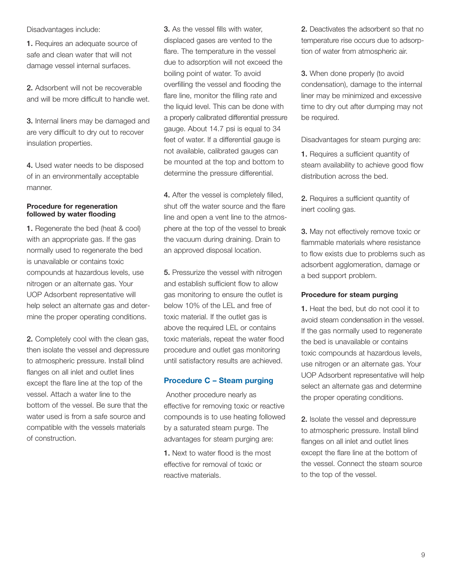Disadvantages include:

**1.** Requires an adequate source of safe and clean water that will not damage vessel internal surfaces.

**2.** Adsorbent will not be recoverable and will be more difficult to handle wet.

**3.** Internal liners may be damaged and are very difficult to dry out to recover insulation properties.

**4.** Used water needs to be disposed of in an environmentally acceptable manner.

#### **Procedure for regeneration followed by water flooding**

**1.** Regenerate the bed (heat & cool) with an appropriate gas. If the gas normally used to regenerate the bed is unavailable or contains toxic compounds at hazardous levels, use nitrogen or an alternate gas. Your UOP Adsorbent representative will help select an alternate gas and determine the proper operating conditions.

**2.** Completely cool with the clean gas, then isolate the vessel and depressure to atmospheric pressure. Install blind flanges on all inlet and outlet lines except the flare line at the top of the vessel. Attach a water line to the bottom of the vessel. Be sure that the water used is from a safe source and compatible with the vessels materials of construction.

**3.** As the vessel fills with water, displaced gases are vented to the flare. The temperature in the vessel due to adsorption will not exceed the boiling point of water. To avoid overfilling the vessel and flooding the flare line, monitor the filling rate and the liquid level. This can be done with a properly calibrated differential pressure gauge. About 14.7 psi is equal to 34 feet of water. If a differential gauge is not available, calibrated gauges can be mounted at the top and bottom to determine the pressure differential.

**4.** After the vessel is completely filled, shut off the water source and the flare line and open a vent line to the atmosphere at the top of the vessel to break the vacuum during draining. Drain to an approved disposal location.

**5.** Pressurize the vessel with nitrogen and establish sufficient flow to allow gas monitoring to ensure the outlet is below 10% of the LEL and free of toxic material. If the outlet gas is above the required LEL or contains toxic materials, repeat the water flood procedure and outlet gas monitoring until satisfactory results are achieved.

#### **Procedure C – Steam purging**

Another procedure nearly as effective for removing toxic or reactive compounds is to use heating followed by a saturated steam purge. The advantages for steam purging are:

**1.** Next to water flood is the most effective for removal of toxic or reactive materials.

**2.** Deactivates the adsorbent so that no temperature rise occurs due to adsorption of water from atmospheric air.

**3.** When done properly (to avoid condensation), damage to the internal liner may be minimized and excessive time to dry out after dumping may not be required.

Disadvantages for steam purging are:

**1.** Requires a sufficient quantity of steam availability to achieve good flow distribution across the bed.

**2.** Requires a sufficient quantity of inert cooling gas.

**3.** May not effectively remove toxic or flammable materials where resistance to flow exists due to problems such as adsorbent agglomeration, damage or a bed support problem.

#### **Procedure for steam purging**

**1.** Heat the bed, but do not cool it to avoid steam condensation in the vessel. If the gas normally used to regenerate the bed is unavailable or contains toxic compounds at hazardous levels, use nitrogen or an alternate gas. Your UOP Adsorbent representative will help select an alternate gas and determine the proper operating conditions.

**2.** Isolate the vessel and depressure to atmospheric pressure. Install blind flanges on all inlet and outlet lines except the flare line at the bottom of the vessel. Connect the steam source to the top of the vessel.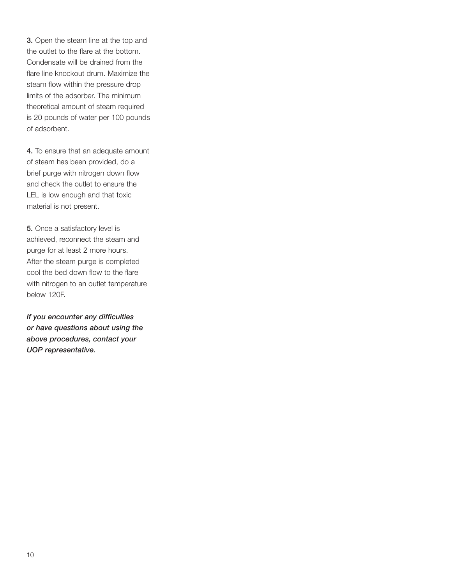**3.** Open the steam line at the top and the outlet to the flare at the bottom. Condensate will be drained from the flare line knockout drum. Maximize the steam flow within the pressure drop limits of the adsorber. The minimum theoretical amount of steam required is 20 pounds of water per 100 pounds of adsorbent.

**4.** To ensure that an adequate amount of steam has been provided, do a brief purge with nitrogen down flow and check the outlet to ensure the LEL is low enough and that toxic material is not present.

**5.** Once a satisfactory level is achieved, reconnect the steam and purge for at least 2 more hours. After the steam purge is completed cool the bed down flow to the flare with nitrogen to an outlet temperature below 120F.

*If you encounter any difficulties or have questions about using the above procedures, contact your UOP representative.*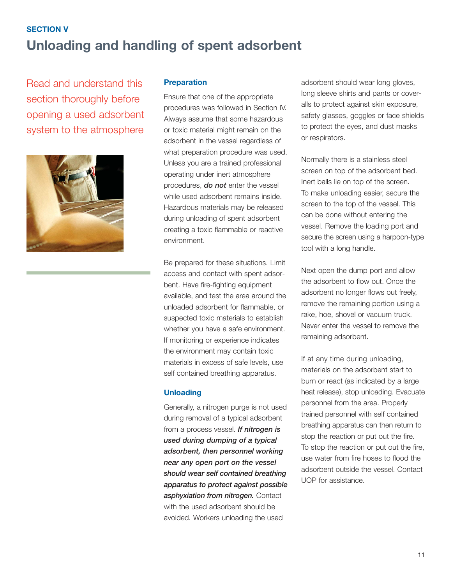# **SECTION V Unloading and handling of spent adsorbent**

Read and understand this section thoroughly before opening a used adsorbent system to the atmosphere



## **Preparation**

Ensure that one of the appropriate procedures was followed in Section IV. Always assume that some hazardous or toxic material might remain on the adsorbent in the vessel regardless of what preparation procedure was used. Unless you are a trained professional operating under inert atmosphere procedures, *do not* enter the vessel while used adsorbent remains inside. Hazardous materials may be released during unloading of spent adsorbent creating a toxic flammable or reactive environment.

Be prepared for these situations. Limit access and contact with spent adsorbent. Have fire-fighting equipment available, and test the area around the unloaded adsorbent for flammable, or suspected toxic materials to establish whether you have a safe environment. If monitoring or experience indicates the environment may contain toxic materials in excess of safe levels, use self contained breathing apparatus.

#### **Unloading**

Generally, a nitrogen purge is not used during removal of a typical adsorbent from a process vessel. *If nitrogen is used during dumping of a typical adsorbent, then personnel working near any open port on the vessel should wear self contained breathing apparatus to protect against possible asphyxiation from nitrogen.* Contact with the used adsorbent should be avoided. Workers unloading the used

adsorbent should wear long gloves, long sleeve shirts and pants or coveralls to protect against skin exposure, safety glasses, goggles or face shields to protect the eyes, and dust masks or respirators.

Normally there is a stainless steel screen on top of the adsorbent bed. Inert balls lie on top of the screen. To make unloading easier, secure the screen to the top of the vessel. This can be done without entering the vessel. Remove the loading port and secure the screen using a harpoon-type tool with a long handle.

Next open the dump port and allow the adsorbent to flow out. Once the adsorbent no longer flows out freely, remove the remaining portion using a rake, hoe, shovel or vacuum truck. Never enter the vessel to remove the remaining adsorbent.

If at any time during unloading, materials on the adsorbent start to burn or react (as indicated by a large heat release), stop unloading. Evacuate personnel from the area. Properly trained personnel with self contained breathing apparatus can then return to stop the reaction or put out the fire. To stop the reaction or put out the fire, use water from fire hoses to flood the adsorbent outside the vessel. Contact UOP for assistance.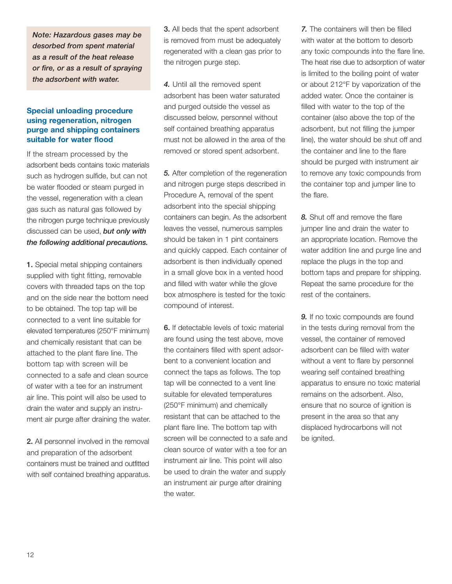*Note: Hazardous gases may be desorbed from spent material as a result of the heat release or fire, or as a result of spraying the adsorbent with water.*

## **Special unloading procedure using regeneration, nitrogen purge and shipping containers suitable for water flood**

If the stream processed by the adsorbent beds contains toxic materials such as hydrogen sulfide, but can not be water flooded or steam purged in the vessel, regeneration with a clean gas such as natural gas followed by the nitrogen purge technique previously discussed can be used, *but only with the following additional precautions.*

**1.** Special metal shipping containers supplied with tight fitting, removable covers with threaded taps on the top and on the side near the bottom need to be obtained. The top tap will be connected to a vent line suitable for elevated temperatures (250°F minimum) and chemically resistant that can be attached to the plant flare line. The bottom tap with screen will be connected to a safe and clean source of water with a tee for an instrument air line. This point will also be used to drain the water and supply an instrument air purge after draining the water.

**2.** All personnel involved in the removal and preparation of the adsorbent containers must be trained and outfitted with self contained breathing apparatus.

**3.** All beds that the spent adsorbent is removed from must be adequately regenerated with a clean gas prior to the nitrogen purge step.

*4.* Until all the removed spent adsorbent has been water saturated and purged outside the vessel as discussed below, personnel without self contained breathing apparatus must not be allowed in the area of the removed or stored spent adsorbent.

*5.* After completion of the regeneration and nitrogen purge steps described in Procedure A, removal of the spent adsorbent into the special shipping containers can begin. As the adsorbent leaves the vessel, numerous samples should be taken in 1 pint containers and quickly capped. Each container of adsorbent is then individually opened in a small glove box in a vented hood and filled with water while the glove box atmosphere is tested for the toxic compound of interest.

**6.** If detectable levels of toxic material are found using the test above, move the containers filled with spent adsorbent to a convenient location and connect the taps as follows. The top tap will be connected to a vent line suitable for elevated temperatures (250°F minimum) and chemically resistant that can be attached to the plant flare line. The bottom tap with screen will be connected to a safe and clean source of water with a tee for an instrument air line. This point will also be used to drain the water and supply an instrument air purge after draining the water.

*7.* The containers will then be filled with water at the bottom to desorb any toxic compounds into the flare line. The heat rise due to adsorption of water is limited to the boiling point of water or about 212°F by vaporization of the added water. Once the container is filled with water to the top of the container (also above the top of the adsorbent, but not filling the jumper line), the water should be shut off and the container and line to the flare should be purged with instrument air to remove any toxic compounds from the container top and jumper line to the flare.

*8.* Shut off and remove the flare jumper line and drain the water to an appropriate location. Remove the water addition line and purge line and replace the plugs in the top and bottom taps and prepare for shipping. Repeat the same procedure for the rest of the containers.

*9.* If no toxic compounds are found in the tests during removal from the vessel, the container of removed adsorbent can be filled with water without a vent to flare by personnel wearing self contained breathing apparatus to ensure no toxic material remains on the adsorbent. Also, ensure that no source of ignition is present in the area so that any displaced hydrocarbons will not be ignited.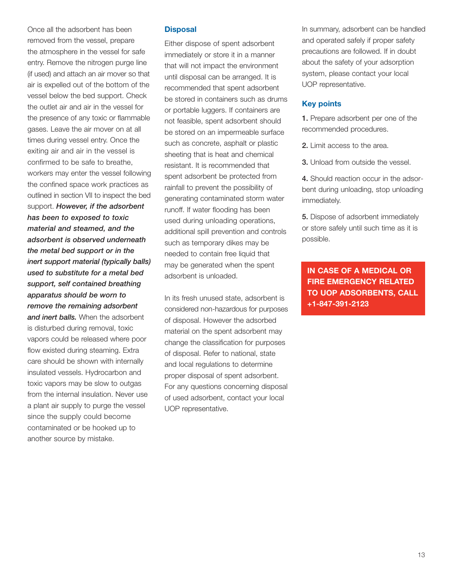Once all the adsorbent has been removed from the vessel, prepare the atmosphere in the vessel for safe entry. Remove the nitrogen purge line (if used) and attach an air mover so that air is expelled out of the bottom of the vessel below the bed support. Check the outlet air and air in the vessel for the presence of any toxic or flammable gases. Leave the air mover on at all times during vessel entry. Once the exiting air and air in the vessel is confirmed to be safe to breathe, workers may enter the vessel following the confined space work practices as outlined in section VII to inspect the bed support. *However, if the adsorbent has been to exposed to toxic material and steamed, and the adsorbent is observed underneath the metal bed support or in the inert support material (typically balls) used to substitute for a metal bed support, self contained breathing apparatus should be worn to remove the remaining adsorbent and inert balls.* When the adsorbent is disturbed during removal, toxic vapors could be released where poor flow existed during steaming. Extra care should be shown with internally insulated vessels. Hydrocarbon and toxic vapors may be slow to outgas from the internal insulation. Never use a plant air supply to purge the vessel since the supply could become contaminated or be hooked up to another source by mistake.

#### **Disposal**

Either dispose of spent adsorbent immediately or store it in a manner that will not impact the environment until disposal can be arranged. It is recommended that spent adsorbent be stored in containers such as drums or portable luggers. If containers are not feasible, spent adsorbent should be stored on an impermeable surface such as concrete, asphalt or plastic sheeting that is heat and chemical resistant. It is recommended that spent adsorbent be protected from rainfall to prevent the possibility of generating contaminated storm water runoff. If water flooding has been used during unloading operations, additional spill prevention and controls such as temporary dikes may be needed to contain free liquid that may be generated when the spent adsorbent is unloaded.

In its fresh unused state, adsorbent is considered non-hazardous for purposes of disposal. However the adsorbed material on the spent adsorbent may change the classification for purposes of disposal. Refer to national, state and local regulations to determine proper disposal of spent adsorbent. For any questions concerning disposal of used adsorbent, contact your local UOP representative.

In summary, adsorbent can be handled and operated safely if proper safety precautions are followed. If in doubt about the safety of your adsorption system, please contact your local UOP representative.

# **Key points**

**1.** Prepare adsorbent per one of the recommended procedures.

- **2.** Limit access to the area.
- **3.** Unload from outside the vessel.

**4.** Should reaction occur in the adsorbent during unloading, stop unloading immediately.

**5.** Dispose of adsorbent immediately or store safely until such time as it is possible.

**IN CASE OF A MEDICAL OR FIRE EMERGENCY RELATED TO UOP ADSORBENTS, CALL +1-847-391-2123**